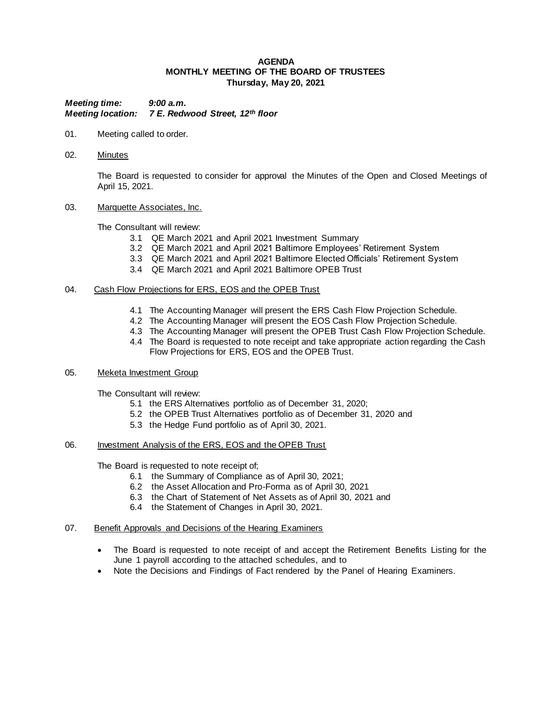### **AGENDA MONTHLY MEETING OF THE BOARD OF TRUSTEES Thursday, May 20, 2021**

*Meeting time: 9:00 a.m. Meeting location: 7 E. Redwood Street, 12th floor*

- 01. Meeting called to order.
- 02. Minutes

The Board is requested to consider for approval the Minutes of the Open and Closed Meetings of April 15, 2021.

### 03. Marquette Associates, Inc.

The Consultant will review:

- 3.1 QE March 2021 and April 2021 Investment Summary
- 3.2 QE March 2021 and April 2021 Baltimore Employees' Retirement System
- 3.3 QE March 2021 and April 2021 Baltimore Elected Officials' Retirement System
- 3.4 QE March 2021 and April 2021 Baltimore OPEB Trust

### 04. Cash Flow Projections for ERS, EOS and the OPEB Trust

- 4.1 The Accounting Manager will present the ERS Cash Flow Projection Schedule.
- 4.2 The Accounting Manager will present the EOS Cash Flow Projection Schedule.
- 4.3 The Accounting Manager will present the OPEB Trust Cash Flow Projection Schedule.
- 4.4 The Board is requested to note receipt and take appropriate action regarding the Cash Flow Projections for ERS, EOS and the OPEB Trust.

### 05. Meketa Investment Group

The Consultant will review:

- 5.1 the ERS Alternatives portfolio as of December 31, 2020;
- 5.2 the OPEB Trust Alternatives portfolio as of December 31, 2020 and
- 5.3 the Hedge Fund portfolio as of April 30, 2021.

## 06. Investment Analysis of the ERS, EOS and the OPEB Trust

The Board is requested to note receipt of;

- 6.1 the Summary of Compliance as of April 30, 2021;
- 6.2 the Asset Allocation and Pro-Forma as of April 30, 2021
- 6.3 the Chart of Statement of Net Assets as of April 30, 2021 and
- 6.4 the Statement of Changes in April 30, 2021.

#### 07. Benefit Approvals and Decisions of the Hearing Examiners

- The Board is requested to note receipt of and accept the Retirement Benefits Listing for the June 1 payroll according to the attached schedules, and to
- Note the Decisions and Findings of Fact rendered by the Panel of Hearing Examiners.